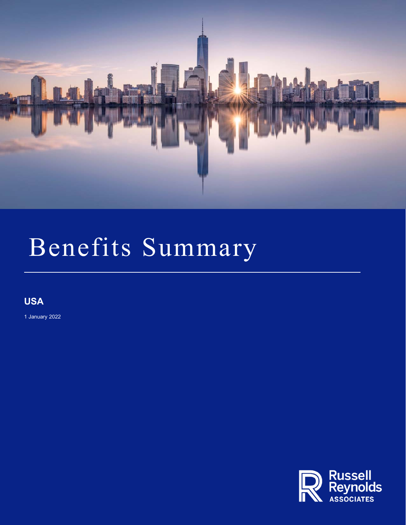

**USA**

1 January 2022

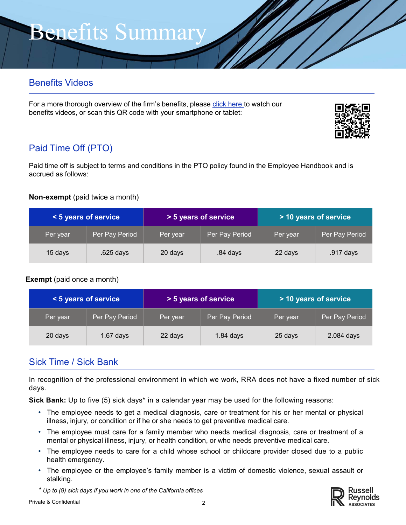## Benefits Videos

For a more thorough overview of the firm's benefits, please click here to watch our benefits videos, or scan this QR code with your smartphone or tablet:



# Paid Time Off (PTO)

Paid time off is subject to terms and conditions in the PTO policy found in the Employee Handbook and is accrued as follows:

#### **Non-exempt** (paid twice a month)

| < 5 years of service |                | > 5 years of service |                | > 10 years of service |                |
|----------------------|----------------|----------------------|----------------|-----------------------|----------------|
| Per year             | Per Pay Period | Per year             | Per Pay Period | Per year              | Per Pay Period |
| 15 days              | $.625$ days    | 20 days              | .84 days       | 22 days               | .917 days      |

#### **Exempt** (paid once a month)

| < 5 years of service |                | > 5 years of service |                | > 10 years of service |                |
|----------------------|----------------|----------------------|----------------|-----------------------|----------------|
| Per year,            | Per Pay Period | Per year             | Per Pay Period | Per year              | Per Pay Period |
| 20 days              | $1.67$ days    | 22 days              | $1.84$ days    | 25 days               | 2.084 days     |

### Sick Time / Sick Bank

In recognition of the professional environment in which we work, RRA does not have a fixed number of sick days.

**Sick Bank:** Up to five (5) sick days\* in a calendar year may be used for the following reasons:

- The employee needs to get a medical diagnosis, care or treatment for his or her mental or physical illness, injury, or condition or if he or she needs to get preventive medical care.
- The employee must care for a family member who needs medical diagnosis, care or treatment of a mental or physical illness, injury, or health condition, or who needs preventive medical care.
- The employee needs to care for a child whose school or childcare provider closed due to a public health emergency.
- The employee or the employee's family member is a victim of domestic violence, sexual assault or stalking.

*\* Up to (9) sick days if you work in one of the California offices*

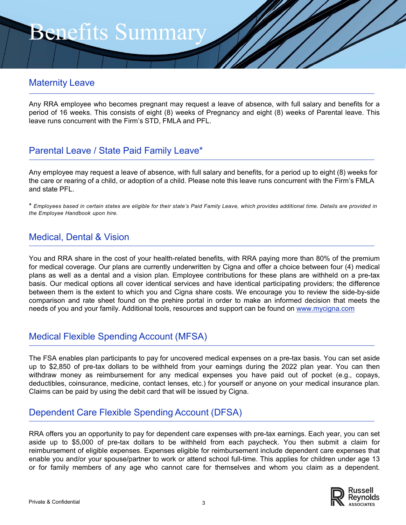#### Maternity Leave

Any RRA employee who becomes pregnant may request a leave of absence, with full salary and benefits for a period of 16 weeks. This consists of eight (8) weeks of Pregnancy and eight (8) weeks of Parental leave. This leave runs concurrent with the Firm's STD, FMLA and PFL.

### Parental Leave / State Paid Family Leave\*

Any employee may request a leave of absence, with full salary and benefits, for a period up to eight (8) weeks for the care or rearing of a child, or adoption of a child. Please note this leave runs concurrent with the Firm's FMLA and state PFL.

\* *Employees based in certain states are eligible for their state's Paid Family Leave, which provides additional time. Details are provided in the Employee Handbook upon hire.*

#### Medical, Dental & Vision

You and RRA share in the cost of your health-related benefits, with RRA paying more than 80% of the premium for medical coverage. Our plans are currently underwritten by Cigna and offer a choice between four (4) medical plans as well as a dental and a vision plan. Employee contributions for these plans are withheld on a pre-tax basis. Our medical options all cover identical services and have identical participating providers; the difference between them is the extent to which you and Cigna share costs. We encourage you to review the side-by-side comparison and rate sheet found on the prehire portal in order to make an informed decision that meets the needs of you and your family. Additional tools, resources and support can be found on www.mycigna.com

### Medical Flexible Spending Account (MFSA)

The FSA enables plan participants to pay for uncovered medical expenses on a pre-tax basis. You can set aside up to \$2,850 of pre-tax dollars to be withheld from your earnings during the 2022 plan year. You can then withdraw money as reimbursement for any medical expenses you have paid out of pocket (e.g., copays, deductibles, coinsurance, medicine, contact lenses, etc.) for yourself or anyone on your medical insurance plan. Claims can be paid by using the debit card that will be issued by Cigna.

### Dependent Care Flexible Spending Account (DFSA)

RRA offers you an opportunity to pay for dependent care expenses with pre-tax earnings. Each year, you can set aside up to \$5,000 of pre-tax dollars to be withheld from each paycheck. You then submit a claim for reimbursement of eligible expenses. Expenses eligible for reimbursement include dependent care expenses that enable you and/or your spouse/partner to work or attend school full-time. This applies for children under age 13 or for family members of any age who cannot care for themselves and whom you claim as a dependent.

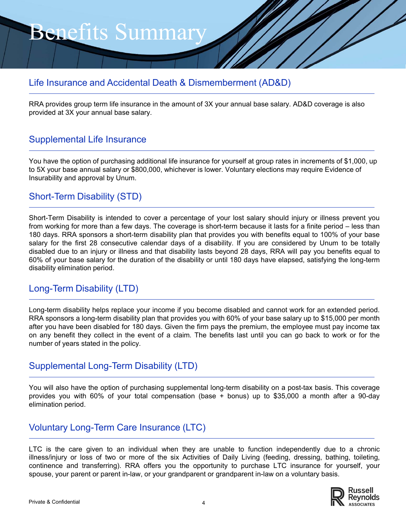#### Life Insurance and Accidental Death & Dismemberment (AD&D)

RRA provides group term life insurance in the amount of 3X your annual base salary. AD&D coverage is also provided at 3X your annual base salary.

#### Supplemental Life Insurance

You have the option of purchasing additional life insurance for yourself at group rates in increments of \$1,000, up to 5X your base annual salary or \$800,000, whichever is lower. Voluntary elections may require Evidence of Insurability and approval by Unum.

#### Short-Term Disability (STD)

Short-Term Disability is intended to cover a percentage of your lost salary should injury or illness prevent you from working for more than a few days. The coverage is short-term because it lasts for a finite period – less than 180 days. RRA sponsors a short-term disability plan that provides you with benefits equal to 100% of your base salary for the first 28 consecutive calendar days of a disability. If you are considered by Unum to be totally disabled due to an injury or illness and that disability lasts beyond 28 days, RRA will pay you benefits equal to 60% of your base salary for the duration of the disability or until 180 days have elapsed, satisfying the long-term disability elimination period.

#### Long-Term Disability (LTD)

Long-term disability helps replace your income if you become disabled and cannot work for an extended period. RRA sponsors a long-term disability plan that provides you with 60% of your base salary up to \$15,000 per month after you have been disabled for 180 days. Given the firm pays the premium, the employee must pay income tax on any benefit they collect in the event of a claim. The benefits last until you can go back to work or for the number of years stated in the policy.

#### Supplemental Long-Term Disability (LTD)

You will also have the option of purchasing supplemental long-term disability on a post-tax basis. This coverage provides you with 60% of your total compensation (base + bonus) up to \$35,000 a month after a 90-day elimination period.

#### Voluntary Long-Term Care Insurance (LTC)

LTC is the care given to an individual when they are unable to function independently due to a chronic illness/injury or loss of two or more of the six Activities of Daily Living (feeding, dressing, bathing, toileting, continence and transferring). RRA offers you the opportunity to purchase LTC insurance for yourself, your spouse, your parent or parent in-law, or your grandparent or grandparent in-law on a voluntary basis.

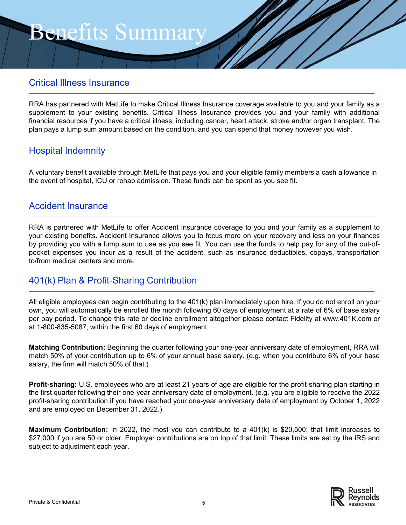#### Critical Illness Insurance

RRA has partnered with MetLife to make Critical Illness Insurance coverage available to you and your family as a supplement to your existing benefits. Critical Illness Insurance provides you and your family with additional financial resources if you have a critical illness, including cancer, heart attack, stroke and/or organ transplant. The plan pays a lump sum amount based on the condition, and you can spend that money however you wish.

#### Hospital Indemnity

A voluntary benefit available through MetLife that pays you and your eligible family members a cash allowance in the event of hospital, ICU or rehab admission. These funds can be spent as you see fit.

#### Accident Insurance

RRA is partnered with MetLife to offer Accident Insurance coverage to you and your family as a supplement to your existing benefits. Accident Insurance allows you to focus more on your recovery and less on your finances by providing you with a lump sum to use as you see fit. You can use the funds to help pay for any of the out-ofpocket expenses you incur as a result of the accident, such as insurance deductibles, copays, transportation to/from medical centers and more.

#### 401(k) Plan & Profit-Sharing Contribution

All eligible employees can begin contributing to the 401(k) plan immediately upon hire. If you do not enroll on your own, you will automatically be enrolled the month following 60 days of employment at a rate of 6% of base salary per pay period. To change this rate or decline enrollment altogether please contact Fidelity at www.401K.com or at 1-800-835-5087, within the first 60 days of employment.

**Matching Contribution:** Beginning the quarter following your one-year anniversary date of employment, RRA will match 50% of your contribution up to 6% of your annual base salary. (e.g. when you contribute 6% of your base salary, the firm will match 50% of that.)

**Profit-sharing:** U.S. employees who are at least 21 years of age are eligible for the profit-sharing plan starting in the first quarter following their one-year anniversary date of employment. (e.g. you are eligible to receive the 2022 profit-sharing contribution if you have reached your one-year anniversary date of employment by October 1, 2022 and are employed on December 31, 2022.)

**Maximum Contribution:** In 2022, the most you can contribute to a 401(k) is \$20,500; that limit increases to \$27,000 if you are 50 or older. Employer contributions are on top of that limit. These limits are set by the IRS and subject to adjustment each year.

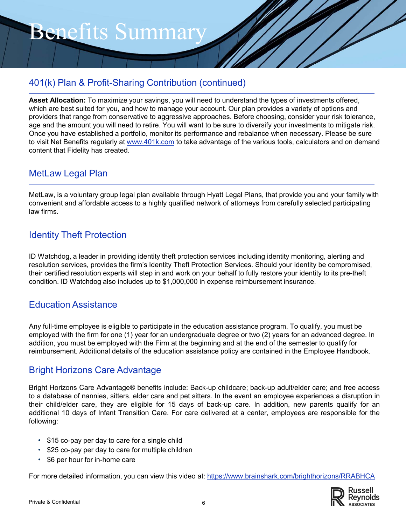### 401(k) Plan & Profit-Sharing Contribution (continued)

**Asset Allocation:** To maximize your savings, you will need to understand the types of investments offered, which are best suited for you, and how to manage your account. Our plan provides a variety of options and providers that range from conservative to aggressive approaches. Before choosing, consider your risk tolerance, age and the amount you will need to retire. You will want to be sure to diversify your investments to mitigate risk. Once you have established a portfolio, monitor its performance and rebalance when necessary. Please be sure to visit Net Benefits regularly at www.401k.com to take advantage of the various tools, calculators and on demand content that Fidelity has created.

#### MetLaw Legal Plan

MetLaw, is a voluntary group legal plan available through Hyatt Legal Plans, that provide you and your family with convenient and affordable access to a highly qualified network of attorneys from carefully selected participating law firms.

#### Identity Theft Protection

ID Watchdog, a leader in providing identity theft protection services including identity monitoring, alerting and resolution services, provides the firm's Identity Theft Protection Services. Should your identity be compromised, their certified resolution experts will step in and work on your behalf to fully restore your identity to its pre-theft condition. ID Watchdog also includes up to \$1,000,000 in expense reimbursement insurance.

#### Education Assistance

Any full-time employee is eligible to participate in the education assistance program. To qualify, you must be employed with the firm for one (1) year for an undergraduate degree or two (2) years for an advanced degree. In addition, you must be employed with the Firm at the beginning and at the end of the semester to qualify for reimbursement. Additional details of the education assistance policy are contained in the Employee Handbook.

#### Bright Horizons Care Advantage

Bright Horizons Care Advantage® benefits include: Back-up childcare; back-up adult/elder care; and free access to a database of nannies, sitters, elder care and pet sitters. In the event an employee experiences a disruption in their child/elder care, they are eligible for 15 days of back-up care. In addition, new parents qualify for an additional 10 days of Infant Transition Care. For care delivered at a center, employees are responsible for the following:

- \$15 co-pay per day to care for a single child
- \$25 co-pay per day to care for multiple children
- \$6 per hour for in-home care

For more detailed information, you can view this video at: https://www.brainshark.com/brighthorizons/RRABHCA